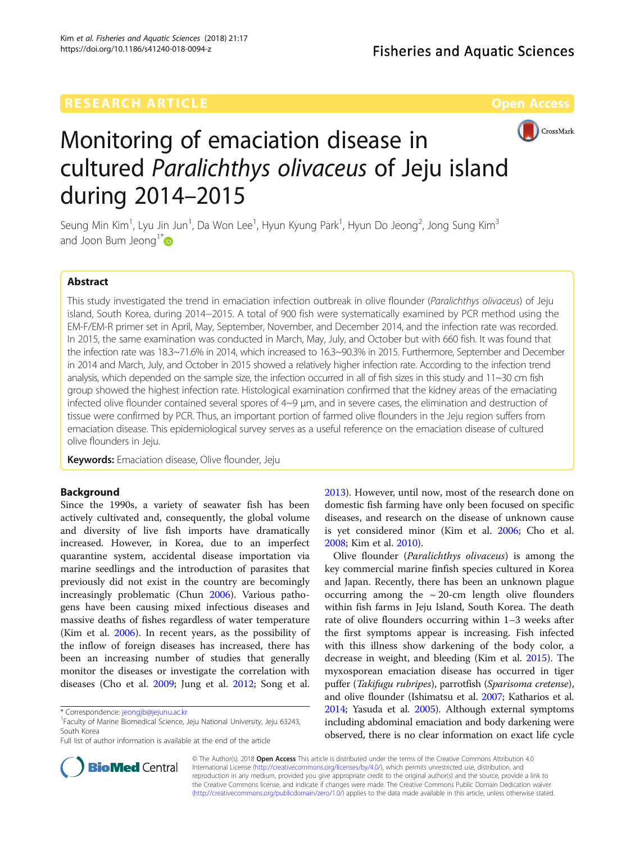

# Monitoring of emaciation disease in cultured Paralichthys olivaceus of Jeju island during 2014–2015

Seung Min Kim<sup>1</sup>, Lyu Jin Jun<sup>1</sup>, Da Won Lee<sup>1</sup>, Hyun Kyung Park<sup>1</sup>, Hyun Do Jeong<sup>2</sup>, Jong Sung Kim<sup>3</sup> and Joon Bum Jeong<sup>1\*</sup>

# Abstract

This study investigated the trend in emaciation infection outbreak in olive flounder (Paralichthys olivaceus) of Jeju island, South Korea, during 2014−2015. A total of 900 fish were systematically examined by PCR method using the EM-F/EM-R primer set in April, May, September, November, and December 2014, and the infection rate was recorded. In 2015, the same examination was conducted in March, May, July, and October but with 660 fish. It was found that the infection rate was 18.3~71.6% in 2014, which increased to 16.3~90.3% in 2015. Furthermore, September and December in 2014 and March, July, and October in 2015 showed a relatively higher infection rate. According to the infection trend analysis, which depended on the sample size, the infection occurred in all of fish sizes in this study and  $11~30$  cm fish group showed the highest infection rate. Histological examination confirmed that the kidney areas of the emaciating infected olive flounder contained several spores of 4~9 μm, and in severe cases, the elimination and destruction of tissue were confirmed by PCR. Thus, an important portion of farmed olive flounders in the Jeju region suffers from emaciation disease. This epidemiological survey serves as a useful reference on the emaciation disease of cultured olive flounders in Jeju.

Keywords: Emaciation disease, Olive flounder, Jeju

# Background

Since the 1990s, a variety of seawater fish has been actively cultivated and, consequently, the global volume and diversity of live fish imports have dramatically increased. However, in Korea, due to an imperfect quarantine system, accidental disease importation via marine seedlings and the introduction of parasites that previously did not exist in the country are becomingly increasingly problematic (Chun [2006](#page-5-0)). Various pathogens have been causing mixed infectious diseases and massive deaths of fishes regardless of water temperature (Kim et al. [2006\)](#page-6-0). In recent years, as the possibility of the inflow of foreign diseases has increased, there has been an increasing number of studies that generally monitor the diseases or investigate the correlation with diseases (Cho et al. [2009](#page-5-0); Jung et al. [2012](#page-5-0); Song et al.



Olive flounder (Paralichthys olivaceus) is among the key commercial marine finfish species cultured in Korea and Japan. Recently, there has been an unknown plague occurring among the  $\sim$  20-cm length olive flounders within fish farms in Jeju Island, South Korea. The death rate of olive flounders occurring within 1–3 weeks after the first symptoms appear is increasing. Fish infected with this illness show darkening of the body color, a decrease in weight, and bleeding (Kim et al. [2015](#page-6-0)). The myxosporean emaciation disease has occurred in tiger puffer (Takifugu rubripes), parrotfish (Sparisoma cretense), and olive flounder (Ishimatsu et al. [2007](#page-5-0); Katharios et al. [2014;](#page-5-0) Yasuda et al. [2005](#page-6-0)). Although external symptoms including abdominal emaciation and body darkening were observed, there is no clear information on exact life cycle



© The Author(s). 2018 Open Access This article is distributed under the terms of the Creative Commons Attribution 4.0 International License [\(http://creativecommons.org/licenses/by/4.0/](http://creativecommons.org/licenses/by/4.0/)), which permits unrestricted use, distribution, and reproduction in any medium, provided you give appropriate credit to the original author(s) and the source, provide a link to the Creative Commons license, and indicate if changes were made. The Creative Commons Public Domain Dedication waiver [\(http://creativecommons.org/publicdomain/zero/1.0/](http://creativecommons.org/publicdomain/zero/1.0/)) applies to the data made available in this article, unless otherwise stated.

<sup>\*</sup> Correspondence: [jeongjb@jejunu.ac.kr](mailto:jeongjb@jejunu.ac.kr) <sup>1</sup>

<sup>&</sup>lt;sup>1</sup>Faculty of Marine Biomedical Science, Jeju National University, Jeju 63243, South Korea

Full list of author information is available at the end of the article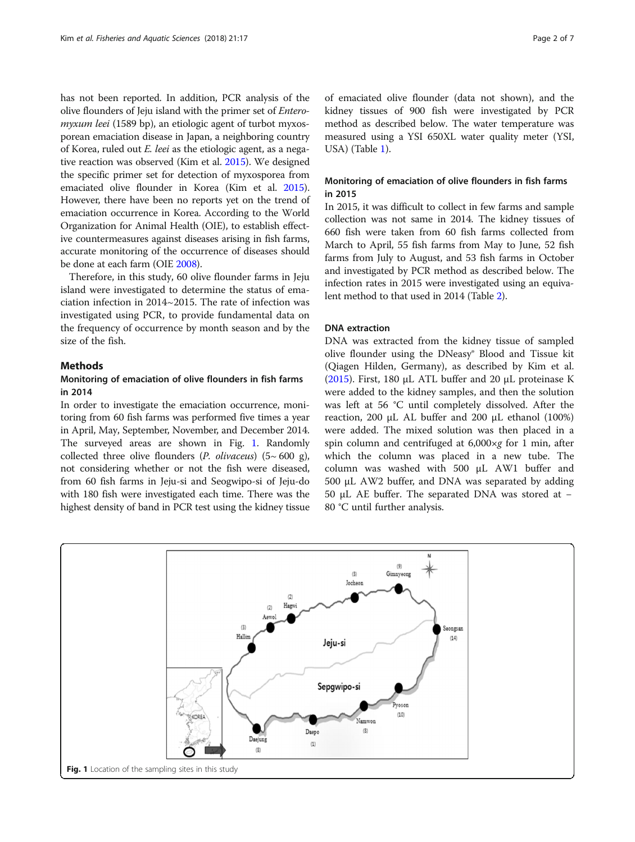has not been reported. In addition, PCR analysis of the olive flounders of Jeju island with the primer set of Enteromyxum leei (1589 bp), an etiologic agent of turbot myxosporean emaciation disease in Japan, a neighboring country of Korea, ruled out E. leei as the etiologic agent, as a negative reaction was observed (Kim et al. [2015](#page-6-0)). We designed the specific primer set for detection of myxosporea from emaciated olive flounder in Korea (Kim et al. [2015](#page-6-0)). However, there have been no reports yet on the trend of emaciation occurrence in Korea. According to the World Organization for Animal Health (OIE), to establish effective countermeasures against diseases arising in fish farms, accurate monitoring of the occurrence of diseases should be done at each farm (OIE [2008\)](#page-6-0).

Therefore, in this study, 60 olive flounder farms in Jeju island were investigated to determine the status of emaciation infection in 2014~2015. The rate of infection was investigated using PCR, to provide fundamental data on the frequency of occurrence by month season and by the size of the fish.

# **Methods**

# Monitoring of emaciation of olive flounders in fish farms in 2014

In order to investigate the emaciation occurrence, monitoring from 60 fish farms was performed five times a year in April, May, September, November, and December 2014. The surveyed areas are shown in Fig. 1. Randomly collected three olive flounders (*P. olivaceus*)  $(5~600~g)$ , not considering whether or not the fish were diseased, from 60 fish farms in Jeju-si and Seogwipo-si of Jeju-do with 180 fish were investigated each time. There was the highest density of band in PCR test using the kidney tissue

of emaciated olive flounder (data not shown), and the kidney tissues of 900 fish were investigated by PCR method as described below. The water temperature was measured using a YSI 650XL water quality meter (YSI, USA) (Table [1\)](#page-2-0).

# Monitoring of emaciation of olive flounders in fish farms in 2015

In 2015, it was difficult to collect in few farms and sample collection was not same in 2014. The kidney tissues of 660 fish were taken from 60 fish farms collected from March to April, 55 fish farms from May to June, 52 fish farms from July to August, and 53 fish farms in October and investigated by PCR method as described below. The infection rates in 2015 were investigated using an equivalent method to that used in 2014 (Table [2\)](#page-2-0).

#### DNA extraction

DNA was extracted from the kidney tissue of sampled olive flounder using the DNeasy® Blood and Tissue kit (Qiagen Hilden, Germany), as described by Kim et al. ([2015\)](#page-6-0). First, 180  $\mu$ L ATL buffer and 20  $\mu$ L proteinase K were added to the kidney samples, and then the solution was left at 56 °C until completely dissolved. After the reaction, 200 μL AL buffer and 200 μL ethanol (100%) were added. The mixed solution was then placed in a spin column and centrifuged at  $6,000\times g$  for 1 min, after which the column was placed in a new tube. The column was washed with 500 μL AW1 buffer and 500 μL AW2 buffer, and DNA was separated by adding 50 μL AE buffer. The separated DNA was stored at − 80 °C until further analysis.

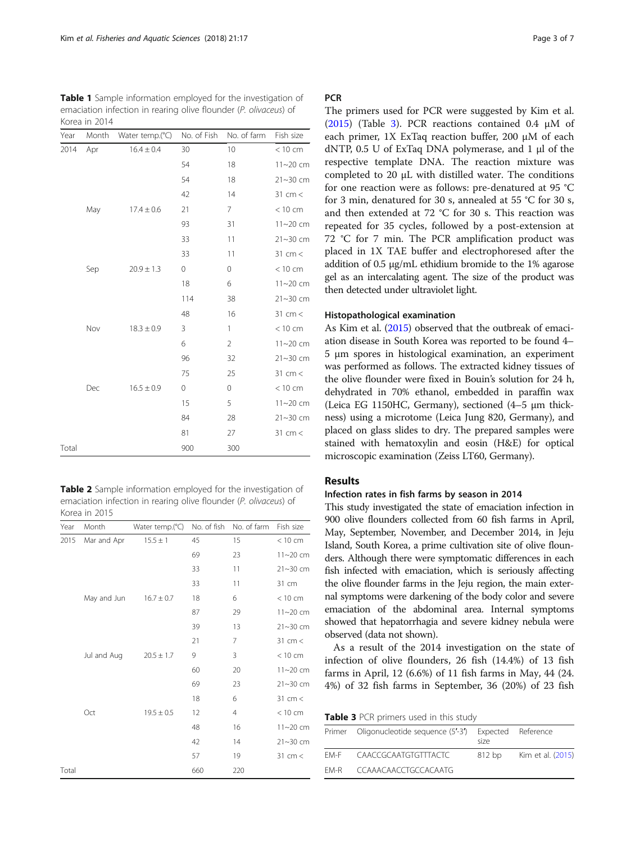<span id="page-2-0"></span>Table 1 Sample information employed for the investigation of emaciation infection in rearing olive flounder (P. olivaceus) of Korea in 2014

| Year  | Month | Water temp.(°C) | No. of Fish | No. of farm    | Fish size    |
|-------|-------|-----------------|-------------|----------------|--------------|
| 2014  | Apr   | $16.4 \pm 0.4$  | 30          | 10             | < 10 cm      |
|       |       |                 | 54          | 18             | $11 - 20$ cm |
|       |       |                 | 54          | 18             | 21~30 cm     |
|       |       |                 | 42          | 14             | 31 cm $<$    |
|       | May   | $17.4 \pm 0.6$  | 21          | 7              | < 10 cm      |
|       |       |                 | 93          | 31             | $11 - 20$ cm |
|       |       |                 | 33          | 11             | 21~30 cm     |
|       |       |                 | 33          | 11             | $31$ cm $<$  |
|       | Sep   | $20.9 \pm 1.3$  | 0           | $\mathbf 0$    | < 10 cm      |
|       |       |                 | 18          | 6              | $11 - 20$ cm |
|       |       |                 | 114         | 38             | $21 - 30$ cm |
|       |       |                 | 48          | 16             | $31$ cm $<$  |
|       | Nov   | $18.3 \pm 0.9$  | 3           | 1              | < 10 cm      |
|       |       |                 | 6           | $\overline{2}$ | $11 - 20$ cm |
|       |       |                 | 96          | 32             | $21 - 30$ cm |
|       |       |                 | 75          | 25             | $31$ cm $<$  |
|       | Dec   | $16.5 \pm 0.9$  | 0           | 0              | < 10 cm      |
|       |       |                 | 15          | 5              | 11~20 cm     |
|       |       |                 | 84          | 28             | $21 - 30$ cm |
|       |       |                 | 81          | 27             | 31 cm <      |
| Total |       |                 | 900         | 300            |              |

Table 2 Sample information employed for the investigation of emaciation infection in rearing olive flounder (P. olivaceus) of Korea in 2015

| Year  | Month       | Water temp.(°C) | No. of fish | No. of farm    | Fish size    |
|-------|-------------|-----------------|-------------|----------------|--------------|
| 2015  | Mar and Apr | $15.5 \pm 1$    | 45          | 15             | < 10 cm      |
|       |             |                 | 69          | 23             | 11~20 cm     |
|       |             |                 | 33          | 11             | $21 - 30$ cm |
|       |             |                 | 33          | 11             | 31 cm        |
|       | May and Jun | $16.7 \pm 0.7$  | 18          | 6              | < 10 cm      |
|       |             |                 | 87          | 29             | 11~20 cm     |
|       |             |                 | 39          | 13             | $21 - 30$ cm |
|       |             |                 | 21          | 7              | $31$ cm $<$  |
|       | Jul and Aug | $20.5 \pm 1.7$  | 9           | 3              | < 10 cm      |
|       |             |                 | 60          | 20             | $11 - 20$ cm |
|       |             |                 | 69          | 23             | 21~30 cm     |
|       |             |                 | 18          | 6              | 31 cm $<$    |
|       | Oct         | $19.5 \pm 0.5$  | 12          | $\overline{4}$ | < 10 cm      |
|       |             |                 | 48          | 16             | $11 - 20$ cm |
|       |             |                 | 42          | 14             | 21~30 cm     |
|       |             |                 | 57          | 19             | 31 cm $<$    |
| Total |             |                 | 660         | 220            |              |

# **PCR**

The primers used for PCR were suggested by Kim et al. ([2015\)](#page-6-0) (Table 3). PCR reactions contained 0.4 μM of each primer, 1X ExTaq reaction buffer, 200 μM of each dNTP, 0.5 U of ExTaq DNA polymerase, and 1 μl of the respective template DNA. The reaction mixture was completed to 20 μL with distilled water. The conditions for one reaction were as follows: pre-denatured at 95 °C for 3 min, denatured for 30 s, annealed at 55 °C for 30 s, and then extended at 72 °C for 30 s. This reaction was repeated for 35 cycles, followed by a post-extension at 72 °C for 7 min. The PCR amplification product was placed in 1X TAE buffer and electrophoresed after the addition of 0.5 μg/mL ethidium bromide to the 1% agarose gel as an intercalating agent. The size of the product was then detected under ultraviolet light.

## Histopathological examination

As Kim et al. ([2015](#page-6-0)) observed that the outbreak of emaciation disease in South Korea was reported to be found 4– 5 μm spores in histological examination, an experiment was performed as follows. The extracted kidney tissues of the olive flounder were fixed in Bouin's solution for 24 h, dehydrated in 70% ethanol, embedded in paraffin wax (Leica EG 1150HC, Germany), sectioned (4–5 μm thickness) using a microtome (Leica Jung 820, Germany), and placed on glass slides to dry. The prepared samples were stained with hematoxylin and eosin (H&E) for optical microscopic examination (Zeiss LT60, Germany).

# Results

# Infection rates in fish farms by season in 2014

This study investigated the state of emaciation infection in 900 olive flounders collected from 60 fish farms in April, May, September, November, and December 2014, in Jeju Island, South Korea, a prime cultivation site of olive flounders. Although there were symptomatic differences in each fish infected with emaciation, which is seriously affecting the olive flounder farms in the Jeju region, the main external symptoms were darkening of the body color and severe emaciation of the abdominal area. Internal symptoms showed that hepatorrhagia and severe kidney nebula were observed (data not shown).

As a result of the 2014 investigation on the state of infection of olive flounders, 26 fish (14.4%) of 13 fish farms in April, 12 (6.6%) of 11 fish farms in May, 44 (24. 4%) of 32 fish farms in September, 36 (20%) of 23 fish

Table 3 PCR primers used in this study

|      | Primer Oligonucleotide sequence (5'-3') Expected Reference | size   |                   |
|------|------------------------------------------------------------|--------|-------------------|
|      | FM-F CAACCGCAATGTGTTTACTC                                  | 812 bp | Kim et al. (2015) |
| FM-R | CCAAACAACCTGCCACAATG                                       |        |                   |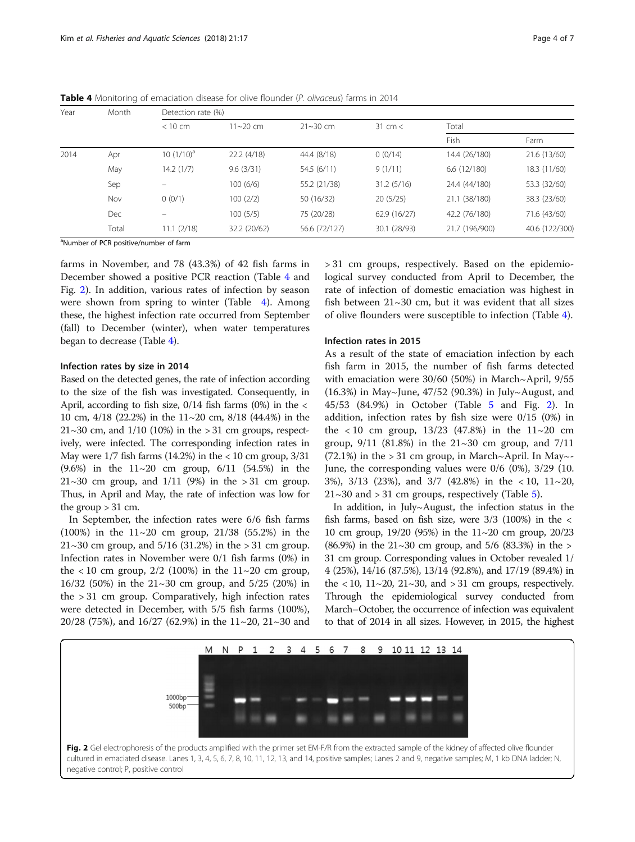| Year | Month      | Detection rate (%) |              |               |                   |                |                |  |
|------|------------|--------------------|--------------|---------------|-------------------|----------------|----------------|--|
|      |            | $<$ 10 cm          | $11 - 20$ cm | $21 - 30$ cm  | $31 \text{ cm} <$ | Total          |                |  |
|      |            |                    |              |               |                   | Fish           | Farm           |  |
| 2014 | Apr        | 10 $(1/10)^a$      | 22.2(4/18)   | 44.4 (8/18)   | 0(0/14)           | 14.4 (26/180)  | 21.6 (13/60)   |  |
|      | May        | 14.2(1/7)          | 9.6(3/31)    | 54.5 (6/11)   | 9(1/11)           | 6.6(12/180)    | 18.3 (11/60)   |  |
|      | Sep        |                    | 100(6/6)     | 55.2 (21/38)  | 31.2(5/16)        | 24.4 (44/180)  | 53.3 (32/60)   |  |
|      | Nov        | 0(0/1)             | 100(2/2)     | 50 (16/32)    | 20(5/25)          | 21.1 (38/180)  | 38.3 (23/60)   |  |
|      | <b>Dec</b> |                    | 100(5/5)     | 75 (20/28)    | 62.9 (16/27)      | 42.2 (76/180)  | 71.6 (43/60)   |  |
|      | Total      | 11.1(2/18)         | 32.2 (20/62) | 56.6 (72/127) | 30.1 (28/93)      | 21.7 (196/900) | 40.6 (122/300) |  |

<span id="page-3-0"></span>Table 4 Monitoring of emaciation disease for olive flounder (P. olivaceus) farms in 2014

<sup>a</sup>Number of PCR positive/number of farm

farms in November, and 78 (43.3%) of 42 fish farms in December showed a positive PCR reaction (Table 4 and Fig. 2). In addition, various rates of infection by season were shown from spring to winter (Table 4). Among these, the highest infection rate occurred from September (fall) to December (winter), when water temperatures began to decrease (Table 4).

## Infection rates by size in 2014

Based on the detected genes, the rate of infection according to the size of the fish was investigated. Consequently, in April, according to fish size,  $0/14$  fish farms  $(0%)$  in the < 10 cm, 4/18 (22.2%) in the 11~20 cm, 8/18 (44.4%) in the  $21~30$  cm, and  $1/10$  (10%) in the  $> 31$  cm groups, respectively, were infected. The corresponding infection rates in May were  $1/7$  fish farms (14.2%) in the  $< 10$  cm group,  $3/31$ (9.6%) in the 11~20 cm group, 6/11 (54.5%) in the  $21~30$  cm group, and  $1/11$  (9%) in the  $> 31$  cm group. Thus, in April and May, the rate of infection was low for the group  $> 31$  cm.

In September, the infection rates were 6/6 fish farms (100%) in the 11~20 cm group, 21/38 (55.2%) in the 21~30 cm group, and  $5/16$  (31.2%) in the > 31 cm group. Infection rates in November were 0/1 fish farms (0%) in the < 10 cm group,  $2/2$  (100%) in the  $11~20$  cm group, 16/32 (50%) in the 21~30 cm group, and 5/25 (20%) in the > 31 cm group. Comparatively, high infection rates were detected in December, with 5/5 fish farms (100%), 20/28 (75%), and 16/27 (62.9%) in the 11~20, 21~30 and > 31 cm groups, respectively. Based on the epidemiological survey conducted from April to December, the rate of infection of domestic emaciation was highest in fish between  $21~30$  cm, but it was evident that all sizes of olive flounders were susceptible to infection (Table 4).

#### Infection rates in 2015

As a result of the state of emaciation infection by each fish farm in 2015, the number of fish farms detected with emaciation were 30/60 (50%) in March~April, 9/55 (16.3%) in May~June, 47/52 (90.3%) in July~August, and 45/53 (84.9%) in October (Table [5](#page-4-0) and Fig. 2). In addition, infection rates by fish size were 0/15 (0%) in the  $< 10$  cm group,  $13/23$  (47.8%) in the  $11~20$  cm group,  $9/11$  (81.8%) in the  $21~30$  cm group, and  $7/11$  $(72.1\%)$  in the > 31 cm group, in March~April. In May~-June, the corresponding values were 0/6 (0%), 3/29 (10. 3%), 3/13 (23%), and 3/7 (42.8%) in the < 10, 11~20,  $21~30$  and  $> 31$  cm groups, respectively (Table [5\)](#page-4-0).

In addition, in July~August, the infection status in the fish farms, based on fish size, were  $3/3$  (100%) in the  $\lt$ 10 cm group, 19/20 (95%) in the 11~20 cm group, 20/23 (86.9%) in the  $21~30$  cm group, and  $5/6$  (83.3%) in the  $>$ 31 cm group. Corresponding values in October revealed 1/ 4 (25%), 14/16 (87.5%), 13/14 (92.8%), and 17/19 (89.4%) in the  $\langle 10, 11 \sim 20, 21 \sim 30,$  and  $> 31$  cm groups, respectively. Through the epidemiological survey conducted from March–October, the occurrence of infection was equivalent to that of 2014 in all sizes. However, in 2015, the highest

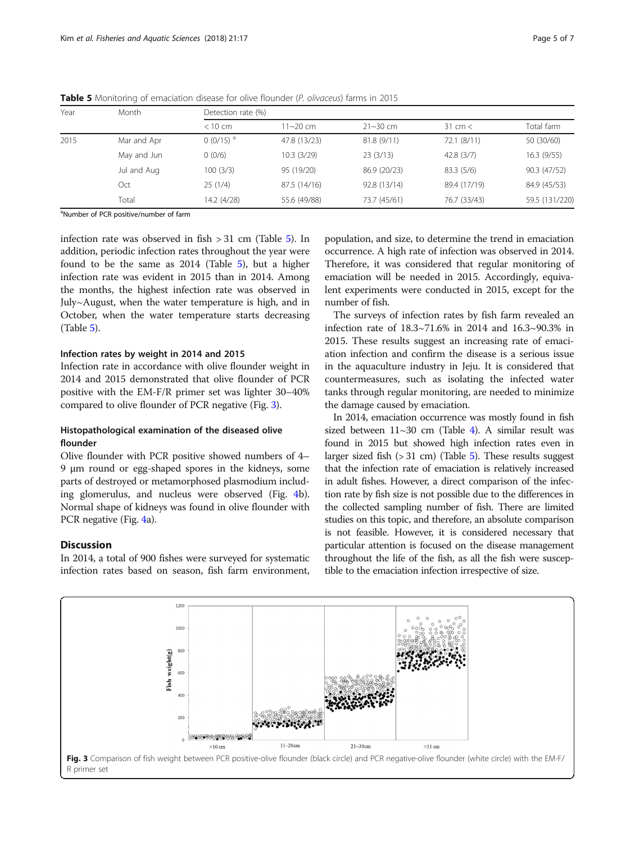| Year | Month       |               | Detection rate (%) |              |                   |                |  |  |
|------|-------------|---------------|--------------------|--------------|-------------------|----------------|--|--|
|      |             | $<$ 10 cm     | $11 - 20$ cm       | $21 - 30$ cm | $31 \text{ cm} <$ | Total farm     |  |  |
| 2015 | Mar and Apr | $0(0/15)^{a}$ | 47.8 (13/23)       | 81.8(9/11)   | 72.1(8/11)        | 50 (30/60)     |  |  |
|      | May and Jun | 0(0/6)        | 10.3(3/29)         | 23(3/13)     | 42.8(3/7)         | 16.3(9/55)     |  |  |
|      | Jul and Aug | 100(3/3)      | 95 (19/20)         | 86.9 (20/23) | 83.3 (5/6)        | 90.3 (47/52)   |  |  |
|      | Oct         | 25(1/4)       | 87.5 (14/16)       | 92.8 (13/14) | 89.4 (17/19)      | 84.9 (45/53)   |  |  |
|      | Total       | 14.2 (4/28)   | 55.6 (49/88)       | 73.7 (45/61) | 76.7 (33/43)      | 59.5 (131/220) |  |  |

<span id="page-4-0"></span>Table 5 Monitoring of emaciation disease for olive flounder (P. olivaceus) farms in 2015

<sup>a</sup>Number of PCR positive/number of farm

infection rate was observed in fish > 31 cm (Table 5). In addition, periodic infection rates throughout the year were found to be the same as 2014 (Table 5), but a higher infection rate was evident in 2015 than in 2014. Among the months, the highest infection rate was observed in July~August, when the water temperature is high, and in October, when the water temperature starts decreasing (Table 5).

# Infection rates by weight in 2014 and 2015

Infection rate in accordance with olive flounder weight in 2014 and 2015 demonstrated that olive flounder of PCR positive with the EM-F/R primer set was lighter 30–40% compared to olive flounder of PCR negative (Fig. 3).

# Histopathological examination of the diseased olive flounder

Olive flounder with PCR positive showed numbers of 4– 9 μm round or egg-shaped spores in the kidneys, some parts of destroyed or metamorphosed plasmodium including glomerulus, and nucleus were observed (Fig. [4](#page-5-0)b). Normal shape of kidneys was found in olive flounder with PCR negative (Fig. [4a](#page-5-0)).

# **Discussion**

In 2014, a total of 900 fishes were surveyed for systematic infection rates based on season, fish farm environment,

population, and size, to determine the trend in emaciation occurrence. A high rate of infection was observed in 2014. Therefore, it was considered that regular monitoring of emaciation will be needed in 2015. Accordingly, equivalent experiments were conducted in 2015, except for the number of fish.

The surveys of infection rates by fish farm revealed an infection rate of 18.3~71.6% in 2014 and 16.3~90.3% in 2015. These results suggest an increasing rate of emaciation infection and confirm the disease is a serious issue in the aquaculture industry in Jeju. It is considered that countermeasures, such as isolating the infected water tanks through regular monitoring, are needed to minimize the damage caused by emaciation.

In 2014, emaciation occurrence was mostly found in fish sized between  $11~30$  cm (Table [4](#page-3-0)). A similar result was found in 2015 but showed high infection rates even in larger sized fish  $(> 31$  cm) (Table 5). These results suggest that the infection rate of emaciation is relatively increased in adult fishes. However, a direct comparison of the infection rate by fish size is not possible due to the differences in the collected sampling number of fish. There are limited studies on this topic, and therefore, an absolute comparison is not feasible. However, it is considered necessary that particular attention is focused on the disease management throughout the life of the fish, as all the fish were susceptible to the emaciation infection irrespective of size.

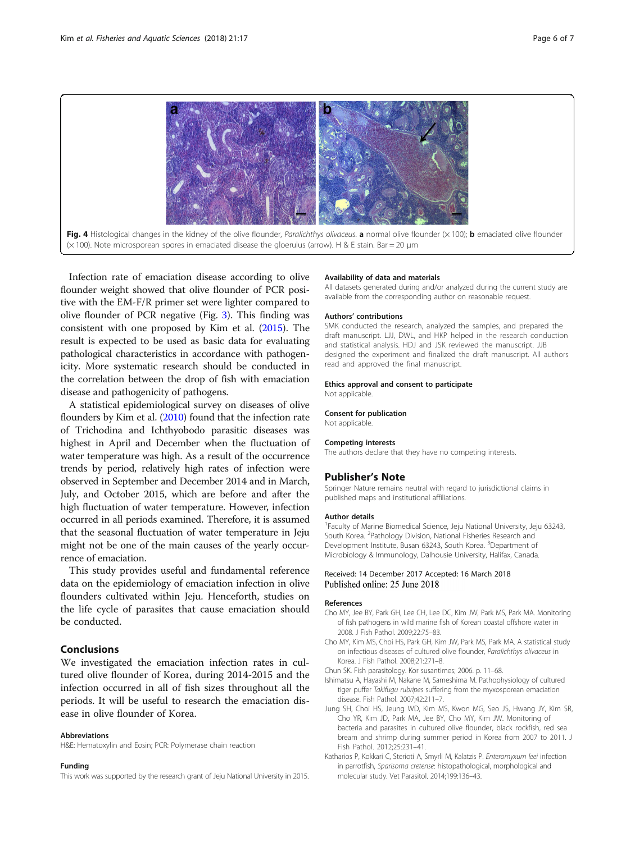

<span id="page-5-0"></span>

Infection rate of emaciation disease according to olive flounder weight showed that olive flounder of PCR positive with the EM-F/R primer set were lighter compared to olive flounder of PCR negative (Fig. [3](#page-4-0)). This finding was consistent with one proposed by Kim et al. ([2015](#page-6-0)). The result is expected to be used as basic data for evaluating pathological characteristics in accordance with pathogenicity. More systematic research should be conducted in the correlation between the drop of fish with emaciation disease and pathogenicity of pathogens.

A statistical epidemiological survey on diseases of olive flounders by Kim et al. ([2010](#page-6-0)) found that the infection rate of Trichodina and Ichthyobodo parasitic diseases was highest in April and December when the fluctuation of water temperature was high. As a result of the occurrence trends by period, relatively high rates of infection were observed in September and December 2014 and in March, July, and October 2015, which are before and after the high fluctuation of water temperature. However, infection occurred in all periods examined. Therefore, it is assumed that the seasonal fluctuation of water temperature in Jeju might not be one of the main causes of the yearly occurrence of emaciation.

This study provides useful and fundamental reference data on the epidemiology of emaciation infection in olive flounders cultivated within Jeju. Henceforth, studies on the life cycle of parasites that cause emaciation should be conducted.

# Conclusions

We investigated the emaciation infection rates in cultured olive flounder of Korea, during 2014-2015 and the infection occurred in all of fish sizes throughout all the periods. It will be useful to research the emaciation disease in olive flounder of Korea.

# Abbreviations

H&E: Hematoxylin and Eosin; PCR: Polymerase chain reaction

#### Funding

This work was supported by the research grant of Jeju National University in 2015.

## Availability of data and materials

All datasets generated during and/or analyzed during the current study are available from the corresponding author on reasonable request.

#### Authors' contributions

SMK conducted the research, analyzed the samples, and prepared the draft manuscript. LJJ, DWL, and HKP helped in the research conduction and statistical analysis. HDJ and JSK reviewed the manuscript. JJB designed the experiment and finalized the draft manuscript. All authors read and approved the final manuscript.

#### Ethics approval and consent to participate

Not applicable.

#### Consent for publication

Not applicable.

#### Competing interests

The authors declare that they have no competing interests.

#### Publisher's Note

Springer Nature remains neutral with regard to jurisdictional claims in published maps and institutional affiliations.

#### Author details

<sup>1</sup> Faculty of Marine Biomedical Science, Jeju National University, Jeju 63243, South Korea. <sup>2</sup>Pathology Division, National Fisheries Research and Development Institute, Busan 63243, South Korea. <sup>3</sup>Department of Microbiology & Immunology, Dalhousie University, Halifax, Canada.

#### Received: 14 December 2017 Accepted: 16 March 2018 Published online: 25 June 2018

#### References

- Cho MY, Jee BY, Park GH, Lee CH, Lee DC, Kim JW, Park MS, Park MA. Monitoring of fish pathogens in wild marine fish of Korean coastal offshore water in 2008. J Fish Pathol. 2009;22:75–83.
- Cho MY, Kim MS, Choi HS, Park GH, Kim JW, Park MS, Park MA. A statistical study on infectious diseases of cultured olive flounder, Paralichthys olivaceus in Korea. J Fish Pathol. 2008;21:271–8.
- Chun SK. Fish parasitology. Kor susantimes; 2006. p. 11–68.
- Ishimatsu A, Hayashi M, Nakane M, Sameshima M. Pathophysiology of cultured tiger puffer Takifugu rubripes suffering from the myxosporean emaciation disease. Fish Pathol. 2007;42:211–7.
- Jung SH, Choi HS, Jeung WD, Kim MS, Kwon MG, Seo JS, Hwang JY, Kim SR, Cho YR, Kim JD, Park MA, Jee BY, Cho MY, Kim JW. Monitoring of bacteria and parasites in cultured olive flounder, black rockfish, red sea bream and shrimp during summer period in Korea from 2007 to 2011. J Fish Pathol. 2012;25:231–41.
- Katharios P, Kokkari C, Sterioti A, Smyrli M, Kalatzis P. Enteromyxum leei infection in parrotfish, Sparisoma cretense: histopathological, morphological and molecular study. Vet Parasitol. 2014;199:136–43.